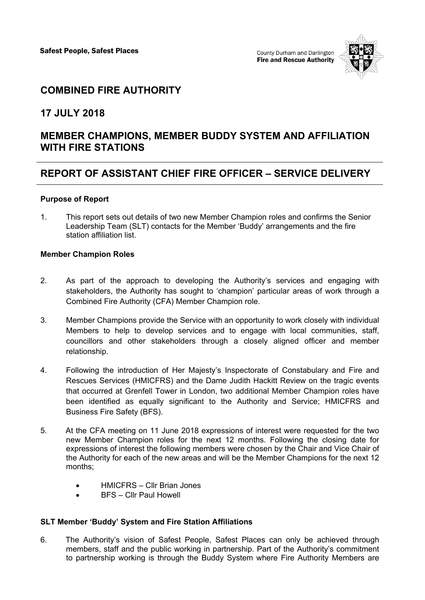

# **COMBINED FIRE AUTHORITY**

### **17 JULY 2018**

## **MEMBER CHAMPIONS, MEMBER BUDDY SYSTEM AND AFFILIATION WITH FIRE STATIONS**

## **REPORT OF ASSISTANT CHIEF FIRE OFFICER – SERVICE DELIVERY**

#### **Purpose of Report**

1. This report sets out details of two new Member Champion roles and confirms the Senior Leadership Team (SLT) contacts for the Member 'Buddy' arrangements and the fire station affiliation list.

#### **Member Champion Roles**

- 2. As part of the approach to developing the Authority's services and engaging with stakeholders, the Authority has sought to 'champion' particular areas of work through a Combined Fire Authority (CFA) Member Champion role.
- 3. Member Champions provide the Service with an opportunity to work closely with individual Members to help to develop services and to engage with local communities, staff, councillors and other stakeholders through a closely aligned officer and member relationship.
- 4. Following the introduction of Her Majesty's Inspectorate of Constabulary and Fire and Rescues Services (HMICFRS) and the Dame Judith Hackitt Review on the tragic events that occurred at Grenfell Tower in London, two additional Member Champion roles have been identified as equally significant to the Authority and Service; HMICFRS and Business Fire Safety (BFS).
- 5. At the CFA meeting on 11 June 2018 expressions of interest were requested for the two new Member Champion roles for the next 12 months. Following the closing date for expressions of interest the following members were chosen by the Chair and Vice Chair of the Authority for each of the new areas and will be the Member Champions for the next 12 months;
	- HMICFRS Cllr Brian Jones
	- BFS Cllr Paul Howell

#### **SLT Member 'Buddy' System and Fire Station Affiliations**

6. The Authority's vision of Safest People, Safest Places can only be achieved through members, staff and the public working in partnership. Part of the Authority's commitment to partnership working is through the Buddy System where Fire Authority Members are